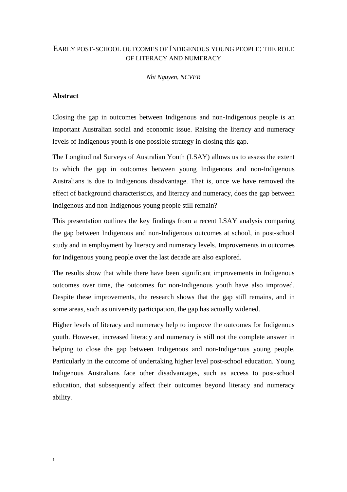# EARLY POST-SCHOOL OUTCOMES OF INDIGENOUS YOUNG PEOPLE: THE ROLE OF LITERACY AND NUMERACY

*Nhi Nguyen, NCVER* 

# **Abstract**

Closing the gap in outcomes between Indigenous and non-Indigenous people is an important Australian social and economic issue. Raising the literacy and numeracy levels of Indigenous youth is one possible strategy in closing this gap.

The Longitudinal Surveys of Australian Youth (LSAY) allows us to assess the extent to which the gap in outcomes between young Indigenous and non-Indigenous Australians is due to Indigenous disadvantage. That is, once we have removed the effect of background characteristics, and literacy and numeracy, does the gap between Indigenous and non-Indigenous young people still remain?

This presentation outlines the key findings from a recent LSAY analysis comparing the gap between Indigenous and non-Indigenous outcomes at school, in post-school study and in employment by literacy and numeracy levels. Improvements in outcomes for Indigenous young people over the last decade are also explored.

The results show that while there have been significant improvements in Indigenous outcomes over time, the outcomes for non-Indigenous youth have also improved. Despite these improvements, the research shows that the gap still remains, and in some areas, such as university participation, the gap has actually widened.

Higher levels of literacy and numeracy help to improve the outcomes for Indigenous youth. However, increased literacy and numeracy is still not the complete answer in helping to close the gap between Indigenous and non-Indigenous young people. Particularly in the outcome of undertaking higher level post-school education. Young Indigenous Australians face other disadvantages, such as access to post-school education, that subsequently affect their outcomes beyond literacy and numeracy ability.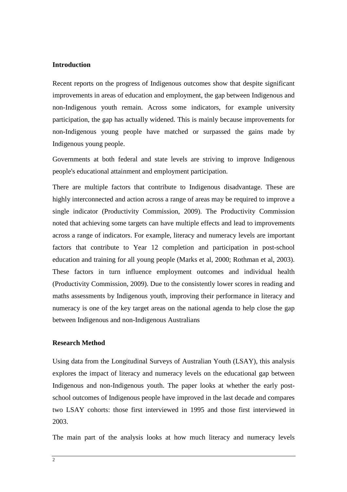## **Introduction**

Recent reports on the progress of Indigenous outcomes show that despite significant improvements in areas of education and employment, the gap between Indigenous and non-Indigenous youth remain. Across some indicators, for example university participation, the gap has actually widened. This is mainly because improvements for non-Indigenous young people have matched or surpassed the gains made by Indigenous young people.

Governments at both federal and state levels are striving to improve Indigenous people's educational attainment and employment participation.

There are multiple factors that contribute to Indigenous disadvantage. These are highly interconnected and action across a range of areas may be required to improve a single indicator (Productivity Commission, 2009). The Productivity Commission noted that achieving some targets can have multiple effects and lead to improvements across a range of indicators. For example, literacy and numeracy levels are important factors that contribute to Year 12 completion and participation in post-school education and training for all young people (Marks et al, 2000; Rothman et al, 2003). These factors in turn influence employment outcomes and individual health (Productivity Commission, 2009). Due to the consistently lower scores in reading and maths assessments by Indigenous youth, improving their performance in literacy and numeracy is one of the key target areas on the national agenda to help close the gap between Indigenous and non-Indigenous Australians

#### **Research Method**

Using data from the Longitudinal Surveys of Australian Youth (LSAY), this analysis explores the impact of literacy and numeracy levels on the educational gap between Indigenous and non-Indigenous youth. The paper looks at whether the early postschool outcomes of Indigenous people have improved in the last decade and compares two LSAY cohorts: those first interviewed in 1995 and those first interviewed in 2003.

The main part of the analysis looks at how much literacy and numeracy levels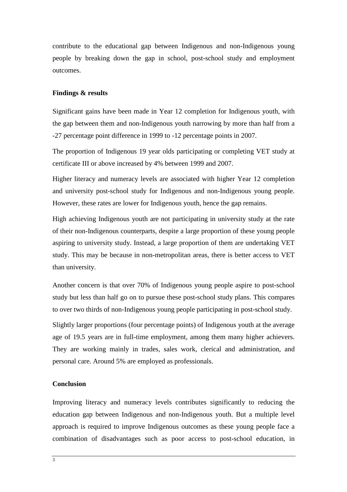contribute to the educational gap between Indigenous and non-Indigenous young people by breaking down the gap in school, post-school study and employment outcomes.

## **Findings & results**

Significant gains have been made in Year 12 completion for Indigenous youth, with the gap between them and non-Indigenous youth narrowing by more than half from a -27 percentage point difference in 1999 to -12 percentage points in 2007.

The proportion of Indigenous 19 year olds participating or completing VET study at certificate III or above increased by 4% between 1999 and 2007.

Higher literacy and numeracy levels are associated with higher Year 12 completion and university post-school study for Indigenous and non-Indigenous young people. However, these rates are lower for Indigenous youth, hence the gap remains.

High achieving Indigenous youth are not participating in university study at the rate of their non-Indigenous counterparts, despite a large proportion of these young people aspiring to university study. Instead, a large proportion of them are undertaking VET study. This may be because in non-metropolitan areas, there is better access to VET than university.

Another concern is that over 70% of Indigenous young people aspire to post-school study but less than half go on to pursue these post-school study plans. This compares to over two thirds of non-Indigenous young people participating in post-school study.

Slightly larger proportions (four percentage points) of Indigenous youth at the average age of 19.5 years are in full-time employment, among them many higher achievers. They are working mainly in trades, sales work, clerical and administration, and personal care. Around 5% are employed as professionals.

#### **Conclusion**

Improving literacy and numeracy levels contributes significantly to reducing the education gap between Indigenous and non-Indigenous youth. But a multiple level approach is required to improve Indigenous outcomes as these young people face a combination of disadvantages such as poor access to post-school education, in